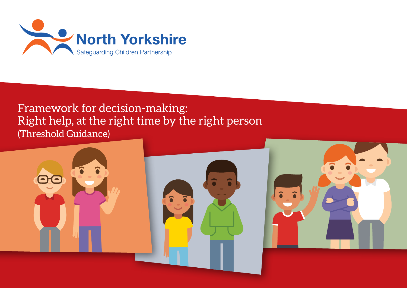

# Framework for decision-making: Right help, at the right time by the right person (Threshold Guidance)

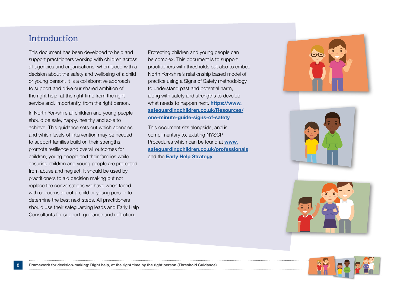## **Introduction**

This document has been developed to help and support practitioners working with children across all agencies and organisations, when faced with a decision about the safety and wellbeing of a child or young person. It is a collaborative approach to support and drive our shared ambition of the right help, at the right time from the right service and, importantly, from the right person.

In North Yorkshire all children and young people should be safe, happy, healthy and able to achieve. This guidance sets out which agencies and which levels of intervention may be needed to support families build on their strengths, promote resilience and overall outcomes for children, young people and their families while ensuring children and young people are protected from abuse and neglect. It should be used by practitioners to aid decision making but not replace the conversations we have when faced with concerns about a child or young person to determine the best next steps. All practitioners should use their safeguarding leads and Early Help Consultants for support, guidance and reflection.

Protecting children and young people can be complex. This document is to support practitioners with thresholds but also to embed North Yorkshire's relationship based model of practice using a Signs of Safety methodology to understand past and potential harm, along with safety and strengths to develop what needs to happen next. **https://www.** safeguardingchildren.co.uk/Resources/ one-minute-guide-signs-of-safety

This document sits alongside, and is complimentary to, existing NYSCP Procedures which can be found at www. safeguardingchildren.co.uk/professionals and the Early Help Strategy.

![](_page_1_Picture_5.jpeg)

![](_page_1_Picture_6.jpeg)

![](_page_1_Picture_7.jpeg)

![](_page_1_Picture_8.jpeg)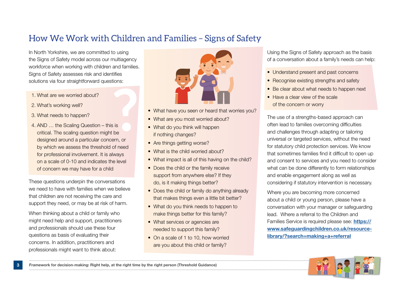## How We Work with Children and Families – Signs of Safety

In North Yorkshire, we are committed to using the Signs of Safety model across our multiagency workforce when working with children and families. Signs of Safety assesses risk and identifies solutions via four straightforward questions:

- 1. What are we worried about?
- 2. What's working well?
- 3. What needs to happen?
- 4. AND … the Scaling Question this is critical. The scaling question might be designed around a particular concern, or by which we assess the threshold of need for professional involvement. It is always on a scale of 0-10 and indicates the level of concern we may have for a child

These questions underpin the conversations we need to have with families when we believe that children are not receiving the care and support they need, or may be at risk of harm.

When thinking about a child or family who might need help and support, practitioners and professionals should use these four questions as basis of evaluating their concerns. In addition, practitioners and professionals might want to think about:

![](_page_2_Picture_8.jpeg)

- What have you seen or heard that worries you?
- What are you most worried about?
- What do you think will happen if nothing changes?
- Are things getting worse?
- What is the child worried about?
- What impact is all of this having on the child?
- Does the child or the family receive support from anywhere else? If they do, is it making things better?
- Does the child or family do anything already that makes things even a little bit better?
- What do you think needs to happen to make things better for this family?
- What services or agencies are needed to support this family?
- On a scale of 1 to 10, how worried are you about this child or family?

Using the Signs of Safety approach as the basis of a conversation about a family's needs can help:

- Understand present and past concerns
- Recognise existing strengths and safety
- Be clear about what needs to happen next
- Have a clear view of the scale of the concern or worry

The use of a strengths-based approach can often lead to families overcoming difficulties and challenges through adapting or tailoring universal or targeted services, without the need for statutory child protection services. We know that sometimes families find it difficult to open up and consent to services and you need to consider what can be done differently to form relationships and enable engagement along as well as considering if statutory intervention is necessary.

Where you are becoming more concerned about a child or young person, please have a conversation with your manager or safeguarding lead. Where a referral to the Children and Families Service is required please see: https:// www.safeguardingchildren.co.uk/resourcelibrary/?search=making+a+referral

![](_page_2_Picture_27.jpeg)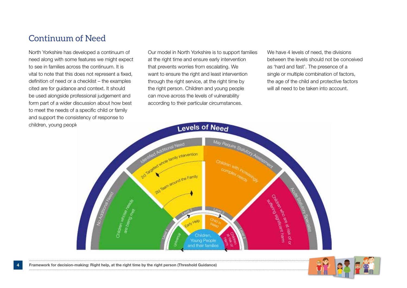## Continuum of Need

North Yorkshire has developed a continuum of need along with some features we might expect to see in families across the continuum. It is vital to note that this does not represent a fixed, definition of need or a checklist – the examples cited are for guidance and context. It should be used alongside professional judgement and form part of a wider discussion about how best to meet the needs of a specific child or family and support the consistency of response to children, young people

Our model in North Yorkshire is to support families at the right time and ensure early intervention that prevents worries from escalating. We want to ensure the right and least intervention through the right service, at the right time by the right person. Children and young people can move across the levels of vulnerability according to their particular circumstances.

We have 4 levels of need, the divisions between the levels should not be conceived as 'hard and fast'. The presence of a single or multiple combination of factors, the age of the child and protective factors will all need to be taken into account.

![](_page_3_Figure_4.jpeg)

![](_page_3_Picture_6.jpeg)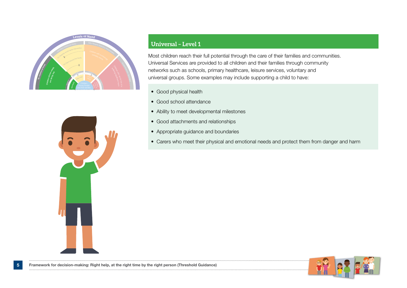![](_page_4_Picture_0.jpeg)

![](_page_4_Picture_1.jpeg)

### **Universal – Level 1**

Most children reach their full potential through the care of their families and communities. Universal Services are provided to all children and their families through community networks such as schools, primary healthcare, leisure services, voluntary and universal groups. Some examples may include supporting a child to have:

- Good physical health
- Good school attendance
- Ability to meet developmental milestones
- Good attachments and relationships
- Appropriate guidance and boundaries
- Carers who meet their physical and emotional needs and protect them from danger and harm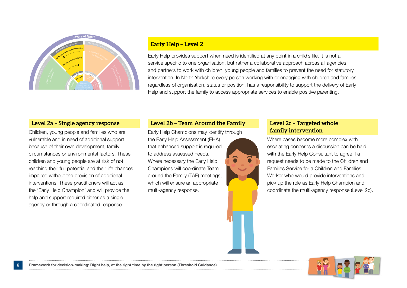![](_page_5_Picture_0.jpeg)

#### **Early Help – Level 2**

Early Help provides support when need is identified at any point in a child's life. It is not a service specific to one organisation, but rather a collaborative approach across all agencies and partners to work with children, young people and families to prevent the need for statutory intervention. In North Yorkshire every person working with or engaging with children and families, regardless of organisation, status or position, has a responsibility to support the delivery of Early Help and support the family to access appropriate services to enable positive parenting.

#### **Level 2a – Single agency response**

Children, young people and families who are vulnerable and in need of additional support because of their own development, family circumstances or environmental factors. These children and young people are at risk of not reaching their full potential and their life chances impaired without the provision of additional interventions. These practitioners will act as the 'Early Help Champion' and will provide the help and support required either as a single agency or through a coordinated response.

### **Level 2b – Team Around the Family**

Early Help Champions may identify through the Early Help Assessment (EHA) that enhanced support is required to address assessed needs. Where necessary the Early Help Champions will coordinate Team around the Family (TAF) meetings, which will ensure an appropriate multi-agency response.

### **Level 2c – Targeted whole family intervention**

Where cases become more complex with escalating concerns a discussion can be held with the Early Help Consultant to agree if a request needs to be made to the Children and Families Service for a Children and Families Worker who would provide interventions and pick up the role as Early Help Champion and coordinate the multi-agency response (Level 2c).

![](_page_5_Picture_9.jpeg)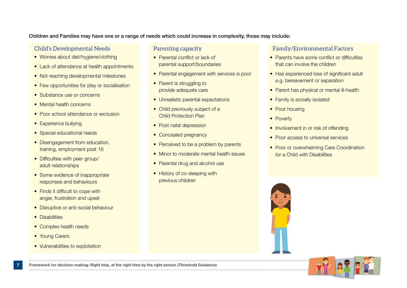#### Children and Families may have one or a range of needs which could increase in complexity, those may include:

### Child's Developmental Needs

- Worries about diet/hygiene/clothing
- Lack of attendance at health appointments
- Not reaching developmental milestones
- Few opportunities for play or socialisation
- Substance use or concerns
- Mental health concerns
- Poor school attendance or exclusion
- Experience bullying
- Special educational needs
- Disengagement from education, training, employment post 16
- Difficulties with peer group/ adult relationships
- Some evidence of inappropriate responses and behaviours
- Finds it difficult to cope with anger, frustration and upset
- Disruptive or anti-social behaviour
- Disabilities
- Complex health needs
- Young Carers
- Vulnerabilities to exploitation

#### Parenting capacity

- Parental conflict or lack of parental support/boundaries
- Parental engagement with services is poor
- Parent is struggling to provide adequate care
- Unrealistic parental expectations
- Child previously subject of a Child Protection Plan
- Post natal depression
- Concealed pregnancy
- Perceived to be a problem by parents
- Minor to moderate mental health issues
- Parental drug and alcohol use
- History of co-sleeping with previous children

#### Family/Environmental Factors

- Parents have some conflict or difficulties that can involve the children
- Has experienced loss of significant adult e.g. bereavement or separation
- Parent has physical or mental ill-health
- Family is socially isolated
- Poor housing
- Poverty
- Involvement in or risk of offending
- Poor access to universal services
- Poor or overwhelming Care Coordination for a Child with Disabilities

![](_page_6_Picture_42.jpeg)

![](_page_6_Picture_43.jpeg)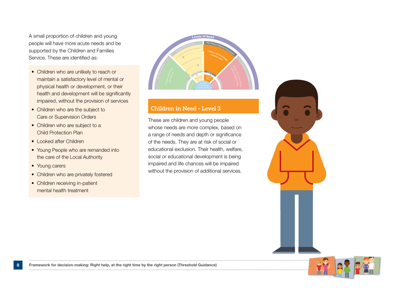A small proportion of children and young people will have more acute needs and be supported by the Children and Families Service. These are identified as:

- Children who are unlikely to reach or maintain a satisfactory level of mental or physical health or development, or their health and development will be significantly impaired, without the provision of services
- Children who are the subject to Care or Supervision Orders
- Children who are subject to a Child Protection Plan
- Looked after Children
- Young People who are remanded into the care of the Local Authority
- Young carers
- Children who are privately fostered
- Children receiving in-patient mental health treatment

![](_page_7_Figure_9.jpeg)

## **Children in Need – Level 3**

These are children and young people whose needs are more complex, based on a range of needs and depth or significance of the needs. They are at risk of social or educational exclusion. Their health, welfare, social or educational development is being impaired and life chances will be impaired without the provision of additional services.

![](_page_7_Figure_12.jpeg)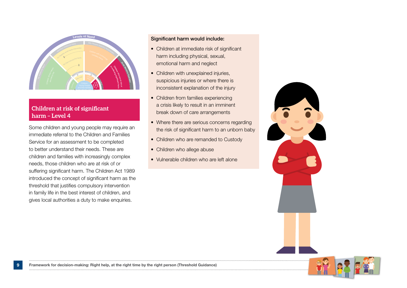![](_page_8_Picture_0.jpeg)

## **Children at risk of significant harm – Level 4**

Some children and young people may require an immediate referral to the Children and Families Service for an assessment to be completed to better understand their needs. These are children and families with increasingly complex needs, those children who are at risk of or suffering significant harm. The Children Act 1989 introduced the concept of significant harm as the threshold that justifies compulsory intervention in family life in the best interest of children, and gives local authorities a duty to make enquiries.

#### Significant harm would include:

- Children at immediate risk of significant harm including physical, sexual, emotional harm and neglect
- Children with unexplained injuries, suspicious injuries or where there is inconsistent explanation of the injury
- Children from families experiencing a crisis likely to result in an imminent break down of care arrangements
- Where there are serious concerns regarding the risk of significant harm to an unborn baby
- Children who are remanded to Custody
- Children who allege abuse
- Vulnerable children who are left alone

![](_page_8_Picture_11.jpeg)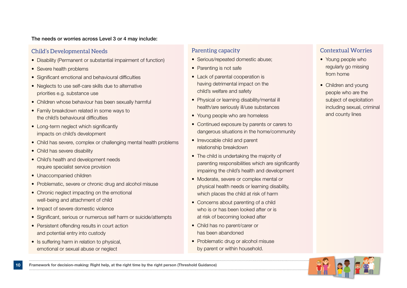#### The needs or worries across Level 3 or 4 may include:

### Child's Developmental Needs

- Disability (Permanent or substantial impairment of function)
- Severe health problems
- Significant emotional and behavioural difficulties
- Neglects to use self-care skills due to alternative priorities e.g. substance use
- Children whose behaviour has been sexually harmful
- Family breakdown related in some ways to the child's behavioural difficulties
- Long-term neglect which significantly impacts on child's development
- Child has severe, complex or challenging mental health problems
- Child has severe disability
- Child's health and development needs require specialist service provision
- Unaccompanied children
- Problematic, severe or chronic drug and alcohol misuse
- Chronic neglect impacting on the emotional well-being and attachment of child
- Impact of severe domestic violence
- Significant, serious or numerous self harm or suicide/attempts
- Persistent offending results in court action and potential entry into custody
- Is suffering harm in relation to physical, emotional or sexual abuse or neglect

## Parenting capacity

- Serious/repeated domestic abuse;
- Parenting is not safe
- Lack of parental cooperation is having detrimental impact on the child's welfare and safety
- Physical or learning disability/mental ill health/are seriously ill/use substances
- Young people who are homeless
- Continued exposure by parents or carers to dangerous situations in the home/community
- Irrevocable child and parent relationship breakdown
- The child is undertaking the majority of parenting responsibilities which are significantly impairing the child's health and development
- Moderate, severe or complex mental or physical health needs or learning disability, which places the child at risk of harm
- Concerns about parenting of a child who is or has been looked after or is at risk of becoming looked after
- Child has no parent/carer or has been abandoned
- Problematic drug or alcohol misuse by parent or within household.

## Contextual Worries

- Young people who regularly go missing from home
- Children and young people who are the subject of exploitation including sexual, criminal and county lines

![](_page_9_Picture_35.jpeg)

![](_page_9_Picture_36.jpeg)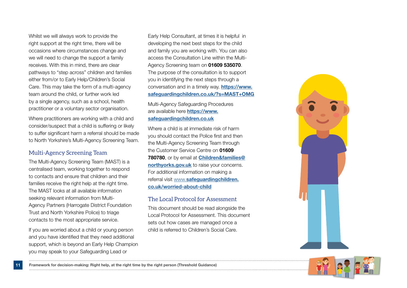Whilst we will always work to provide the right support at the right time, there will be occasions where circumstances change and we will need to change the support a family receives. With this in mind, there are clear pathways to "step across" children and families either from/or to Early Help/Children's Social Care. This may take the form of a multi-agency team around the child, or further work led by a single agency, such as a school, health practitioner or a voluntary sector organisation.

Where practitioners are working with a child and consider/suspect that a child is suffering or likely to suffer significant harm a referral should be made to North Yorkshire's Multi-Agency Screening Team.

#### Multi-Agency Screening Team

The Multi-Agency Screening Team (MAST) is a centralised team, working together to respond to contacts and ensure that children and their families receive the right help at the right time. The MAST looks at all available information seeking relevant information from Multi-Agency Partners (Harrogate District Foundation Trust and North Yorkshire Police) to triage contacts to the most appropriate service.

If you are worried about a child or young person and you have identified that they need additional support, which is beyond an Early Help Champion you may speak to your Safeguarding Lead or

Early Help Consultant, at times it is helpful in developing the next best steps for the child and family you are working with. You can also access the Consultation Line within the Multi-Agency Screening team on 01609 535070. The purpose of the consultation is to support you in identifying the next steps through a conversation and in a timely way. https://www. safeguardingchildren.co.uk/?s=MAST+OMG

Multi-Agency Safeguarding Procedures are available here **https://www.** safeguardingchildren.co.uk

Where a child is at immediate risk of harm you should contact the Police first and then the Multi-Agency Screening Team through the Customer Service Centre on 01609 780780, or by email at Children&families@ northyorks.gov.uk to raise your concerns. For additional information on making a referral visit www.safeguardingchildren. co.uk/worried-about-child

### The Local Protocol for Assessment

This document should be read alongside the Local Protocol for Assessment. This document sets out how cases are managed once a child is referred to Children's Social Care.

![](_page_10_Picture_10.jpeg)

![](_page_10_Picture_11.jpeg)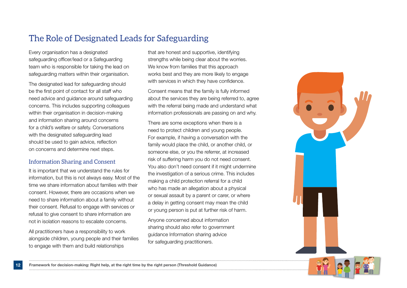## The Role of Designated Leads for Safeguarding

Every organisation has a designated safeguarding officer/lead or a Safeguarding team who is responsible for taking the lead on safeguarding matters within their organisation.

The designated lead for safeguarding should be the first point of contact for all staff who need advice and guidance around safeguarding concerns. This includes supporting colleagues within their organisation in decision-making and information sharing around concerns for a child's welfare or safety. Conversations with the designated safeguarding lead should be used to gain advice, reflection on concerns and determine next steps.

## Information Sharing and Consent

It is important that we understand the rules for information, but this is not always easy. Most of the time we share information about families with their consent. However, there are occasions when we need to share information about a family without their consent. Refusal to engage with services or refusal to give consent to share information are not in isolation reasons to escalate concerns.

All practitioners have a responsibility to work alongside children, young people and their families to engage with them and build relationships

that are honest and supportive, identifying strengths while being clear about the worries. We know from families that this approach works best and they are more likely to engage with services in which they have confidence.

Consent means that the family is fully informed about the services they are being referred to, agree with the referral being made and understand what information professionals are passing on and why.

There are some exceptions when there is a need to protect children and young people. For example, if having a conversation with the family would place the child, or another child, or someone else, or you the referrer, at increased risk of suffering harm you do not need consent. You also don't need consent if it might undermine the investigation of a serious crime. This includes making a child protection referral for a child who has made an allegation about a physical or sexual assault by a parent or carer, or where a delay in getting consent may mean the child or young person is put at further risk of harm.

Anyone concerned about information sharing should also refer to government guidance Information sharing advice for safeguarding practitioners.

![](_page_11_Figure_10.jpeg)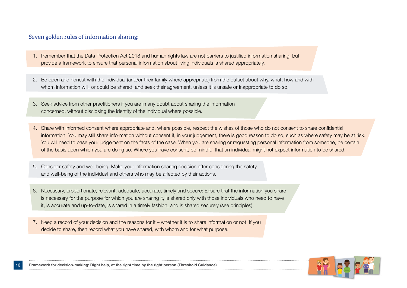### Seven golden rules of information sharing:

- 1. Remember that the Data Protection Act 2018 and human rights law are not barriers to justified information sharing, but provide a framework to ensure that personal information about living individuals is shared appropriately.
- 2. Be open and honest with the individual (and/or their family where appropriate) from the outset about why, what, how and with whom information will, or could be shared, and seek their agreement, unless it is unsafe or inappropriate to do so.
- 3. Seek advice from other practitioners if you are in any doubt about sharing the information concerned, without disclosing the identity of the individual where possible.
- 4. Share with informed consent where appropriate and, where possible, respect the wishes of those who do not consent to share confidential information. You may still share information without consent if, in your judgement, there is good reason to do so, such as where safety may be at risk. You will need to base your judgement on the facts of the case. When you are sharing or requesting personal information from someone, be certain of the basis upon which you are doing so. Where you have consent, be mindful that an individual might not expect information to be shared.
- 5. Consider safety and well-being: Make your information sharing decision after considering the safety and well-being of the individual and others who may be affected by their actions.
- 6. Necessary, proportionate, relevant, adequate, accurate, timely and secure: Ensure that the information you share is necessary for the purpose for which you are sharing it, is shared only with those individuals who need to have it, is accurate and up-to-date, is shared in a timely fashion, and is shared securely (see principles).
- 7. Keep a record of your decision and the reasons for it whether it is to share information or not. If you decide to share, then record what you have shared, with whom and for what purpose.

![](_page_12_Picture_8.jpeg)